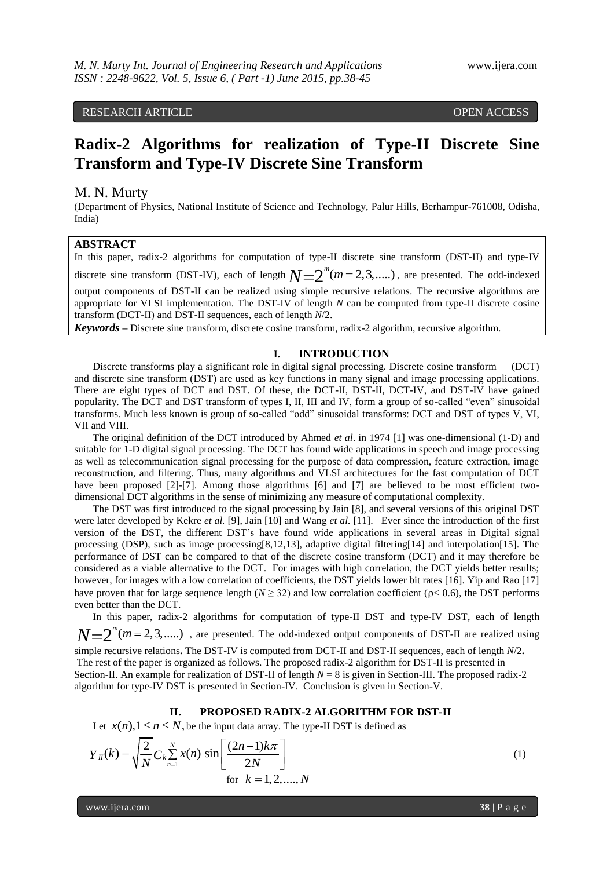# RESEARCH ARTICLE **CONSERVERS** OPEN ACCESS

# **Radix-2 Algorithms for realization of Type-II Discrete Sine Transform and Type-IV Discrete Sine Transform**

### M. N. Murty

(Department of Physics, National Institute of Science and Technology, Palur Hills, Berhampur-761008, Odisha, India)

# **ABSTRACT**

In this paper, radix-2 algorithms for computation of type-II discrete sine transform (DST-II) and type-IV discrete sine transform (DST-IV), each of length  $N=2^m(m=2,3,.....)$ , are presented. The odd-indexed output components of DST-II can be realized using simple recursive relations. The recursive algorithms are appropriate for VLSI implementation. The DST-IV of length *N* can be computed from type-II discrete cosine transform (DCT-II) and DST-II sequences, each of length *N*/2.

*Keywords* **–** Discrete sine transform, discrete cosine transform, radix-2 algorithm, recursive algorithm.

### **I. INTRODUCTION**

Discrete transforms play a significant role in digital signal processing. Discrete cosine transform (DCT) and discrete sine transform (DST) are used as key functions in many signal and image processing applications. There are eight types of DCT and DST. Of these, the DCT-II, DST-II, DCT-IV, and DST-IV have gained popularity. The DCT and DST transform of types I, II, III and IV, form a group of so-called "even" sinusoidal transforms. Much less known is group of so-called "odd" sinusoidal transforms: DCT and DST of types V, VI, VII and VIII.

The original definition of the DCT introduced by Ahmed *et al*. in 1974 [1] was one-dimensional (1-D) and suitable for 1-D digital signal processing. The DCT has found wide applications in speech and image processing as well as telecommunication signal processing for the purpose of data compression, feature extraction, image reconstruction, and filtering. Thus, many algorithms and VLSI architectures for the fast computation of DCT have been proposed [2]-[7]. Among those algorithms [6] and [7] are believed to be most efficient twodimensional DCT algorithms in the sense of minimizing any measure of computational complexity.

The DST was first introduced to the signal processing by Jain [8], and several versions of this original DST were later developed by Kekre *et al.* [9], Jain [10] and Wang *et al.* [11]. Ever since the introduction of the first version of the DST, the different DST's have found wide applications in several areas in Digital signal processing (DSP), such as image processing[8,12,13], adaptive digital filtering[14] and interpolation[15]. The performance of DST can be compared to that of the discrete cosine transform (DCT) and it may therefore be considered as a viable alternative to the DCT. For images with high correlation, the DCT yields better results; however, for images with a low correlation of coefficients, the DST yields lower bit rates [16]. Yip and Rao [17] have proven that for large sequence length ( $N \ge 32$ ) and low correlation coefficient ( $\rho < 0.6$ ), the DST performs even better than the DCT.

In this paper, radix-2 algorithms for computation of type-II DST and type-IV DST, each of length  $N=2^m(m=2,3,.....)$ , are presented. The odd-indexed output components of DST-II are realized using simple recursive relations**.** The DST-IV is computed from DCT-II and DST-II sequences, each of length *N*/2**.**  The rest of the paper is organized as follows. The proposed radix-2 algorithm for DST-II is presented in Section-II. An example for realization of DST-II of length *N* = 8 is given in Section-III. The proposed radix-2 algorithm for type-IV DST is presented in Section-IV. Conclusion is given in Section-V.

#### **II. PROPOSED RADIX-2 ALGORITHM FOR DST-II**

Let 
$$
x(n), 1 \le n \le N
$$
, be the input data array. The type-II DST is defined as\n
$$
Y_{II}(k) = \sqrt{\frac{2}{N}} C_k \sum_{n=1}^{N} x(n) \sin \left[ \frac{(2n-1)k\pi}{2N} \right]
$$
\nfor  $k = 1, 2, ..., N$  (1)

www.ijera.com  $\overline{38 | P}$  a g e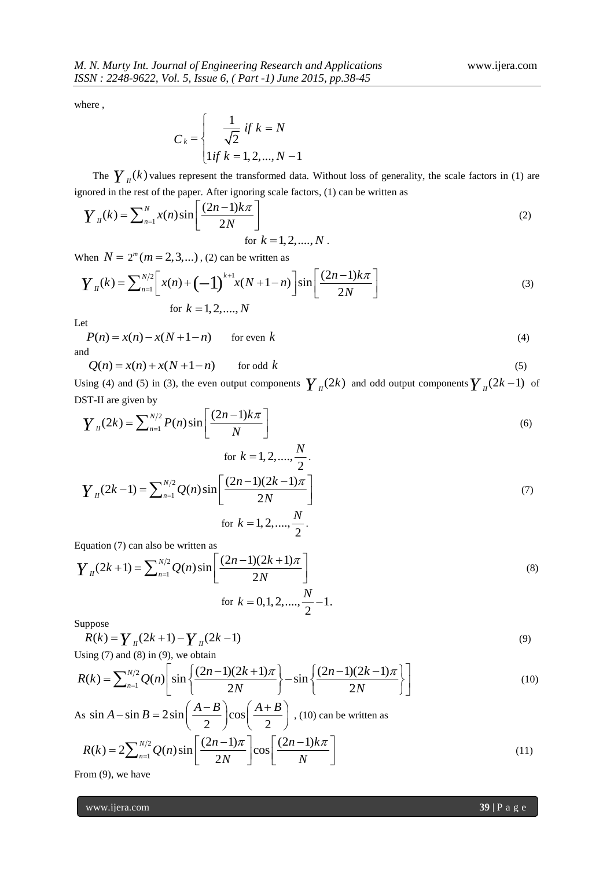where ,

$$
C_k = \begin{cases} \frac{1}{\sqrt{2}} & \text{if } k = N \\ \text{if } k = 1, 2, ..., N - 1 \end{cases}
$$

The  $\gamma$ <sub>II</sub>(k) values represent the transformed data. Without loss of generality, the scale factors in (1) are

\n ignored in the rest of the paper. After ignoring scale factors, (1) can be written as\n 
$$
\boldsymbol{Y}_{II}(k) = \sum_{n=1}^{N} x(n) \sin\left[\frac{(2n-1)k\pi}{2N}\right]
$$
\n for  $k = 1, 2, \ldots, N$ .\n

When  $N = 2^m (m = 2, 3, ...)$ , (2) can be written as

$$
\text{When } N = 2^m (m = 2, 3, \dots), (2) \text{ can be written as}
$$
\n
$$
Y_n(k) = \sum_{n=1}^{N/2} \left[ x(n) + (-1)^{k+1} x(N+1-n) \right] \sin \left[ \frac{(2n-1)k\pi}{2N} \right]
$$
\n
$$
\text{for } k = 1, 2, \dots, N
$$
\n(3)

Let

 $P(n) = x(n) - x(N + 1 - n)$  for even k  $k$  (4) and

 $Q(n) = x(n) + x(N + 1 - n)$  for odd k  $k$  (5)

Using (4) and (5) in (3), the even output components  $\gamma_{II}(2k)$  and odd output components  $\gamma_{II}(2k-1)$  of

DST-II are given by

\n
$$
Y_{ll}(2k) = \sum_{n=1}^{N/2} P(n) \sin\left[\frac{(2n-1)k\pi}{N}\right]
$$
\nfor  $k = 1, 2, ..., \frac{N}{2}$ .

\n
$$
Y_{ll}(2k-1) = \sum_{n=1}^{N/2} Q(n) \sin\left[\frac{(2n-1)(2k-1)\pi}{2N}\right]
$$
\nfor  $k = 1, 2, ..., \frac{N}{2}$ .

\n(7)

Equation (7) can also be written as  
\n
$$
Y_{11}(2k+1) = \sum_{n=1}^{N/2} Q(n) \sin \left[ \frac{(2n-1)(2k+1)\pi}{2N} \right]
$$
\nfor  $k = 0, 1, 2, ..., \frac{N}{2} - 1$ . (8)

Suppose

$$
R(k) = \sum_{n=1}^{n} (2k+1) - \sum_{n=1}^{n} (2k-1)
$$
  
Using (7) and (8) in (9), we obtain  

$$
R(k) = \sum_{n=1}^{N/2} Q(n) \left[ \sin \left\{ \frac{(2n-1)(2k+1)\pi}{2N} \right\} - \sin \left\{ \frac{(2n-1)(2k-1)\pi}{2N} \right\} \right]
$$
(10)

Using 
$$
(7)
$$
 and  $(8)$  in  $(9)$ , we obtain

$$
R(k) = \sum_{n=1}^{N/2} (2k+1) - \sum_{n=1}^{N/2} (2k-1)
$$
\n
$$
\text{Using (7) and (8) in (9), we obtain}
$$
\n
$$
R(k) = \sum_{n=1}^{N/2} Q(n) \left[ \sin \left\{ \frac{(2n-1)(2k+1)\pi}{2N} \right\} - \sin \left\{ \frac{(2n-1)(2k-1)\pi}{2N} \right\} \right]
$$
\n
$$
(10)
$$

As  $\sin A - \sin B = 2\sin\left(\frac{A-B}{2}\right)\cos\theta$  $\left(\frac{-B}{2}\right)\cos\left(\frac{A+2}{2}\right)$  $A-\sin B = 2\sin\left(\frac{A-B}{2}\right)\cos\left(\frac{A+B}{2}\right)$ , (10)

s sin A – sin B = 2 sin 
$$
\left(\frac{12}{2}\right)
$$
 cos  $\left(\frac{112}{2}\right)$ , (10) can be written as  

$$
R(k) = 2\sum_{n=1}^{N/2} Q(n) \sin \left[\frac{(2n-1)\pi}{2N}\right] \cos \left[\frac{(2n-1)k\pi}{N}\right]
$$
(11)

From (9), we have

www.ijera.com **39** | P a g e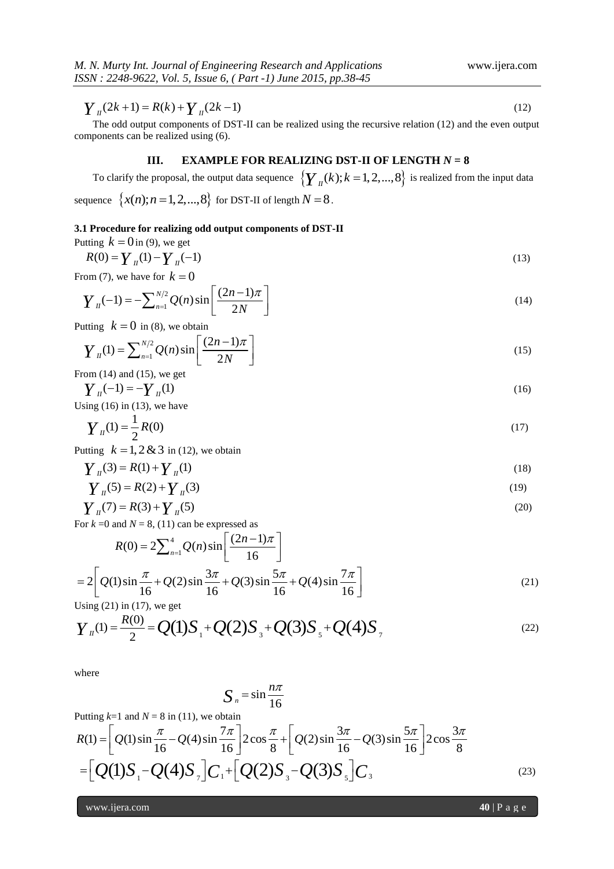The odd output components of DST-II can be realized using the recursive relation (12) and the even output components can be realized using (6).

# **III. EXAMPLE FOR REALIZING DST-II OF LENGTH**  $N = 8$

To clarify the proposal, the output data sequence  $\left\{ \boldsymbol{\gamma}_{I\!I}(k); k=1,2,...,8 \right\}$  is realized from the input data sequence  $\{x(n); n = 1, 2, ..., 8\}$  for DST-II of length  $N = 8$ .

#### **3.1 Procedure for realizing odd output components of DST-II**

Putting  $k = 0$  in (9), we get

$$
R(0) = Y_{II}(1) - Y_{II}(-1)
$$
\n(13)

From (7), we have for 
$$
k = 0
$$
  
\n
$$
Y_n(-1) = -\sum_{n=1}^{N/2} Q(n) \sin\left[\frac{(2n-1)\pi}{2N}\right]
$$
\n(14)

Putting 
$$
k = 0
$$
 in (8), we obtain  
\n
$$
Y_n(1) = \sum_{n=1}^{N/2} Q(n) \sin\left[\frac{(2n-1)\pi}{2N}\right]
$$
\n(15)

From (14) and (15), we get  
\n
$$
\gamma_{\mu}(-1) = -\gamma_{\mu}(1)
$$
\n(16)

Using  $(16)$  in  $(13)$ , we have

$$
Y_{ll}(1) = \frac{1}{2}R(0) \tag{17}
$$

Putting  $k = 1, 2 \& 3$  in (12), we obtain

$$
Y_{\mu}(3) = R(1) + Y_{\mu}(1)
$$
 (18)

$$
Y_{\mu}(5) = R(2) + Y_{\mu}(3)
$$
 (19)

$$
Y_{\mu}(7) = R(3) + Y_{\mu}(5)
$$
 (20)

For 
$$
k = 0
$$
 and  $N = 8$ , (11) can be expressed as  
\n
$$
R(0) = 2 \sum_{n=1}^{4} Q(n) \sin \left[ \frac{(2n-1)\pi}{16} \right]
$$
\n
$$
= 2 \left[ Q(1) \sin \frac{\pi}{16} + Q(2) \sin \frac{3\pi}{16} + Q(3) \sin \frac{5\pi}{16} + Q(4) \sin \frac{7\pi}{16} \right]
$$
\n(21)

Using  $(21)$  in  $(17)$ , we get

$$
=2\left[Q(1)\sin\frac{\pi}{16}+Q(2)\sin\frac{3\pi}{16}+Q(3)\sin\frac{5\pi}{16}+Q(4)\sin\frac{7\pi}{16}\right]
$$
\n
$$
\text{Using (21) in (17), we get}
$$
\n
$$
Y_{II}(1) = \frac{R(0)}{2} = Q(1)S_{1} + Q(2)S_{3} + Q(3)S_{5} + Q(4)S_{7}
$$
\n
$$
(22)
$$

where

$$
S_n = \sin \frac{n\pi}{16}
$$

Putting  $k=1$  and  $N = 8$  in (11), we obtain

$$
\frac{Y_n(2k+1) = R(k) + \frac{Y_n(2k-1)}{N} \qquad (12)
$$
\nThe odd output components of DST-II can be realized using the recursive relation (12) and the even output components of DST-II can be realized using (6).  
\nIII. **EXAMPLE FOR REALIZING DST-II OF LENGTH**  $N = 8$   
\nTo clarify the proposal, the output data sequence  $\{Y_n(k); k = 1, 2, ..., 8\}$  is realized from the input data sequence  $\{x(n); n = 1, 2, ..., 8\}$  for DST-II of length  $N = 8$ .  
\n3.1 Procedure for realizing odd output components of DST-II  
\n $R(0) = Y_n(1) - Y_n(-1)$   
\nFrom (14) and (15), we get  
\nFrom (14) and (15), we get  
\n
$$
Y_n(-1) = -\sum_{n=1}^{N/2} Q(n) \sin \left[ \frac{(2n-1)\pi}{2N} \right]
$$
\n
$$
Y_n(1) = \sum_{n=1}^{N/2} Q(n) \sin \left[ \frac{(2n-1)\pi}{2N} \right]
$$
\n(14)  $\frac{1}{N}$   
\nPutting  $k = 0$  in (8), we obtain  
\n
$$
Y_n(1) = \sum_{n=1}^{N/2} Q(n) \sin \left[ \frac{(2n-1)\pi}{2N} \right]
$$
\n(15)  $\frac{1}{N}$   
\nFrom (14) and (15), we get  
\n
$$
Y_n(1) = \frac{1}{2} R(0)
$$
\n(17)  $\pi$   
\nPutting  $k = 1, 2, 8, 3$  in (12), we obtain  
\n
$$
Y_n(3) = R(1) + Y_n(1)
$$
\n
$$
Y_n(5) = R(2) + \frac{Y_n(3)}{16}
$$
\n(18) 
$$
Y_n(6) = R(2) + \frac{Y_n(3)}{16}
$$
\n(19) 
$$
Y_n(7) = R(3) + \frac{Y_n(5)}{16}
$$
\n(20) 
$$
Y_n(7) = R(3) + \frac{Y_n(5)}{16}
$$
\n(21) 
$$
Y_n(7) = R(2) \sin \frac{3\pi}{16} + Q(3) \sin \frac{5\pi
$$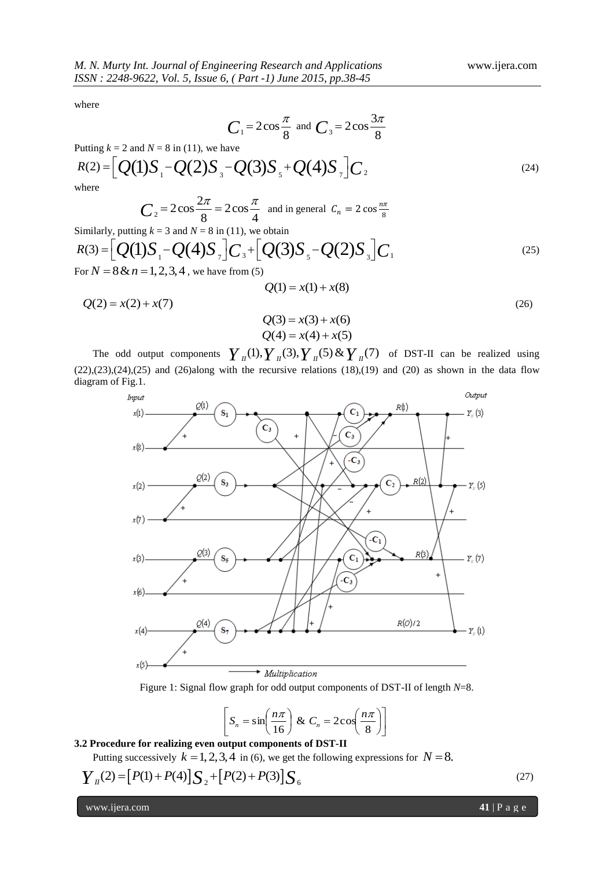$(24)$ 

where

$$
C_1 = 2\cos\frac{\pi}{8}
$$
 and 
$$
C_3 = 2\cos\frac{3\pi}{8}
$$

Putting  $k = 2$  and  $N = 8$  in (11), we have  $C_1 = 2\cos{\frac{\pi}{8}}$  and  $C_3 = 2\cos{\frac{3\pi}{8}}$ <br>
Putting  $k = 2$  and  $N = 8$  in (11), we have<br>  $R(2) = [Q(1)S_1 - Q(2)S_3 - Q(3)S_5 + Q(4)S_7]C_2$ where

$$
C_2 = 2\cos\frac{2\pi}{8} = 2\cos\frac{\pi}{4}
$$
 and in general  $C_n = 2\cos\frac{n\pi}{8}$ 

$$
C_2 = 2\cos\frac{2\pi}{8} = 2\cos\frac{\pi}{4} \text{ and in general } C_n = 2\cos\frac{n\pi}{8}
$$
  
\nSimilarly, putting  $k = 3$  and  $N = 8$  in (11), we obtain  
\n
$$
R(3) = [Q(1)S_1 - Q(4)S_7]C_3 + [Q(3)S_5 - Q(2)S_3]C_1
$$
\nFor  $N = 8$  &  $n = 1, 2, 3, 4$ , we have from (5) (25)

$$
Q(1) = x(1) + x(8)
$$
\n
$$
Q(2) = x(2) + x(7)
$$
\n
$$
Q(3) = x(3) + x(6)
$$
\n
$$
Q(4) = x(4) + x(5)
$$
\nThe odd output components 
$$
Y_{\mu}(1), Y_{\mu}(3), Y_{\mu}(5) \& Y_{\mu}(7)
$$
 of DST-II can be realized using

The odd output components of DST-II can be realized using  $(22),(23),(24),(25)$  and  $(26)$ along with the recursive relations  $(18),(19)$  and  $(20)$  as shown in the data flow diagram of Fig.1.



Figure 1: Signal flow graph for odd output components of DST-II of length *N*=8.

$$
\[ S_n = \sin\left(\frac{n\pi}{16}\right) \& C_n = 2\cos\left(\frac{n\pi}{8}\right) \]
$$

# **3.2 Procedure for realizing even output components of DST-II**

Putting successively  $k = 1, 2, 3, 4$  in (6), we get the following expressions for  $N = 8$ .

6.2 Procedure for realizing even output components of DST-II  
Putting successively 
$$
k = 1, 2, 3, 4
$$
 in (6), we get the following expressions for  $N = 8$ .  

$$
\boldsymbol{Y}_n(2) = [P(1) + P(4)] \boldsymbol{S}_2 + [P(2) + P(3)] \boldsymbol{S}_6
$$
(27)

www.ijera.com **41** | P a g e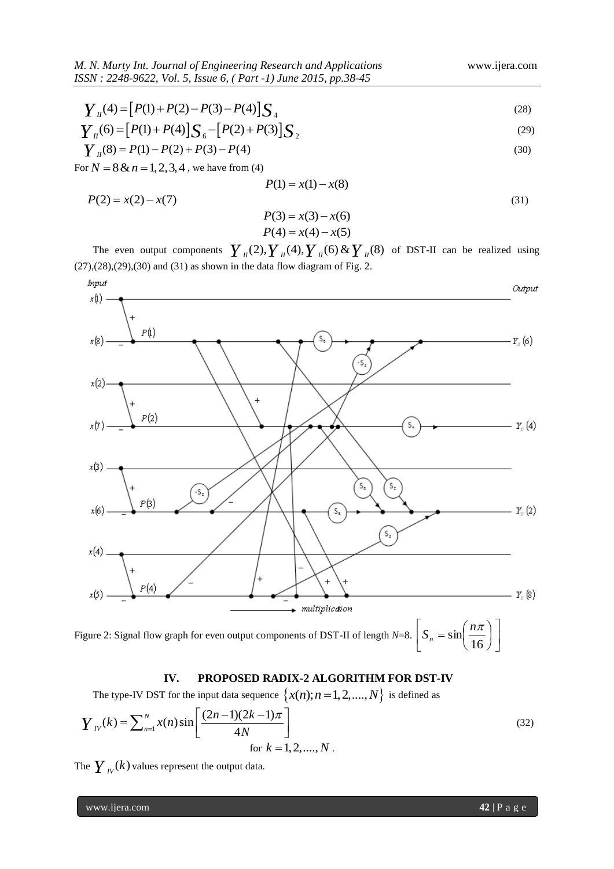$$
Y_{I}(4) = [P(1) + P(2) - P(3) - P(4)]\sum_{4}
$$
\n(28)

$$
\begin{aligned}\n\boldsymbol{Y}_{II}(4) &= \left[ P(1) + P(2) - P(3) - P(4) \right] \boldsymbol{S}_{4} \\
\boldsymbol{Y}_{II}(6) &= \left[ P(1) + P(4) \right] \boldsymbol{S}_{6} - \left[ P(2) + P(3) \right] \boldsymbol{S}_{2} \\
\boldsymbol{Y}_{II}(8) &= P(1) - P(2) + P(3) - P(4)\n\end{aligned} \tag{29}
$$

$$
Y_{\mu}(8) = P(1) - P(2) + P(3) - P(4)
$$
\n(30)

For  $N = 8 \& n = 1, 2, 3, 4$ , we have from (4)

$$
P(1) = x(1) - x(8)
$$
  
(31)

$$
P(3) = x(3) - x(6)
$$
  

$$
P(4) = x(4) - x(5)
$$

The even output components  $P(4) = x(4) - x(5)$ <br>  $Y_{ii}(2), Y_{ii}(4), Y_{ii}(6) \& Y_{ii}(8)$ of DST-II can be realized using  $(27),(28),(29),(30)$  and  $(31)$  as shown in the data flow diagram of Fig. 2.



# **IV. PROPOSED RADIX-2 ALGORITHM FOR DST-IV**

The type-IV DST for the input data sequence 
$$
\{x(n); n = 1, 2, ..., N\}
$$
 is defined as  
\n
$$
Y_{IV}(k) = \sum_{n=1}^{N} x(n) \sin\left[\frac{(2n-1)(2k-1)\pi}{4N}\right]
$$
\nfor  $k = 1, 2, ..., N$ . (32)

The  $\boldsymbol{\mathit{Y}}_{\scriptscriptstyle{IV}}(k)$  values represent the output data.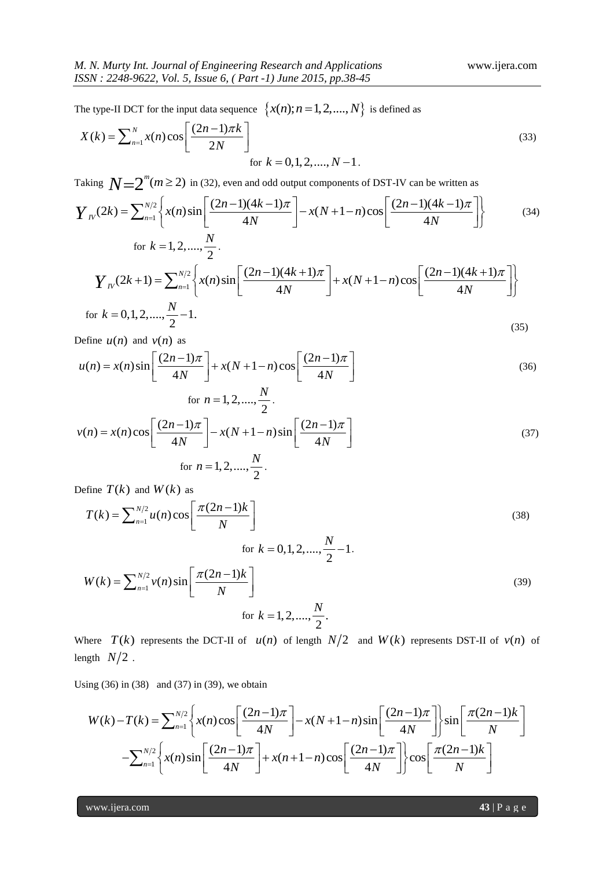The type-II DCT for the input data sequence 
$$
\{x(n); n = 1, 2, ..., N\}
$$
 is defined as  
\n
$$
X(k) = \sum_{n=1}^{N} x(n) \cos\left[\frac{(2n-1)\pi k}{2N}\right]
$$
\nfor  $k = 0, 1, 2, ..., N - 1$ . (33)

Taking  $N=2^{\prime\prime}(m\geq 2)$  in (32), even and odd output components of DST-IV can be written as

$$
\begin{aligned}\n &\text{for } k = 0, 1, 2, \dots, N - 1. \\
 &\text{for } k = 0, 1, 2, \dots, N - 1.\n \end{aligned}
$$
\n
$$
\text{Taking } N = 2^m (m \ge 2) \text{ in (32), even and odd output components of DST-IV can be written as}
$$
\n
$$
Y_N(2k) = \sum_{n=1}^{N/2} \left\{ x(n) \sin \left[ \frac{(2n-1)(4k-1)\pi}{4N} \right] - x(N+1-n) \cos \left[ \frac{(2n-1)(4k-1)\pi}{4N} \right] \right\} \tag{34}
$$
\n
$$
\text{for } k = 1, 2, \dots, \frac{N}{2}.
$$
\n
$$
Y_N(2k+1) = \sum_{n=1}^{N/2} \left\{ x(n) \sin \left[ \frac{(2n-1)(4k+1)\pi}{4N} \right] + x(N+1-n) \cos \left[ \frac{(2n-1)(4k+1)\pi}{4N} \right] \right\}
$$
\n
$$
\text{for } k = 0, 1, 2, \dots, \frac{N}{2} - 1. \tag{35}
$$

Define  $u(n)$  and  $v(n)$  as

Define 
$$
u(n)
$$
 and  $v(n)$  as  
\n
$$
u(n) = x(n) \sin \left[\frac{(2n-1)\pi}{4N}\right] + x(N+1-n) \cos \left[\frac{(2n-1)\pi}{4N}\right]
$$
\nfor  $n = 1, 2, ..., \frac{N}{2}$ . (36)

for 
$$
n = 1, 2, ..., \frac{N}{2}
$$
.  
\n
$$
v(n) = x(n)\cos\left[\frac{(2n-1)\pi}{4N}\right] - x(N+1-n)\sin\left[\frac{(2n-1)\pi}{4N}\right]
$$
\nfor  $n = 1, 2, ..., \frac{N}{2}$ . (37)

Define 
$$
T(k)
$$
 and  $W(k)$  as  
\n
$$
T(k) = \sum_{n=1}^{N/2} u(n) \cos \left[ \frac{\pi (2n-1)k}{N} \right]
$$
\nfor  $k = 0, 1, 2, ..., \frac{N}{2} - 1$ .  
\n
$$
W(k) = \sum_{n=1}^{N/2} v(n) \sin \left[ \frac{\pi (2n-1)k}{N} \right]
$$
\nfor  $k = 1, 2, ..., \frac{N}{2}$ .  
\n(39)

Where  $T(k)$  represents the DCT-II of  $u(n)$  of length  $N/2$  and  $W(k)$  represents DST-II of  $v(n)$  of length  $N/2$ .

Using  $(36)$  in  $(38)$  and  $(37)$  in  $(39)$ , we obtain

$$
\begin{aligned}\n\text{logth} \quad & N/2 \, . \\
\text{ing (36) in (38) and (37) in (39), we obtain} \\
& W(k) - T(k) = \sum_{n=1}^{N/2} \left\{ x(n) \cos \left[ \frac{(2n-1)\pi}{4N} \right] - x(N+1-n) \sin \left[ \frac{(2n-1)\pi}{4N} \right] \right\} \sin \left[ \frac{\pi (2n-1)k}{N} \right] \\
& - \sum_{n=1}^{N/2} \left\{ x(n) \sin \left[ \frac{(2n-1)\pi}{4N} \right] + x(n+1-n) \cos \left[ \frac{(2n-1)\pi}{4N} \right] \right\} \cos \left[ \frac{\pi (2n-1)k}{N} \right]\n\end{aligned}
$$

www.ijera.com **43** | P a g e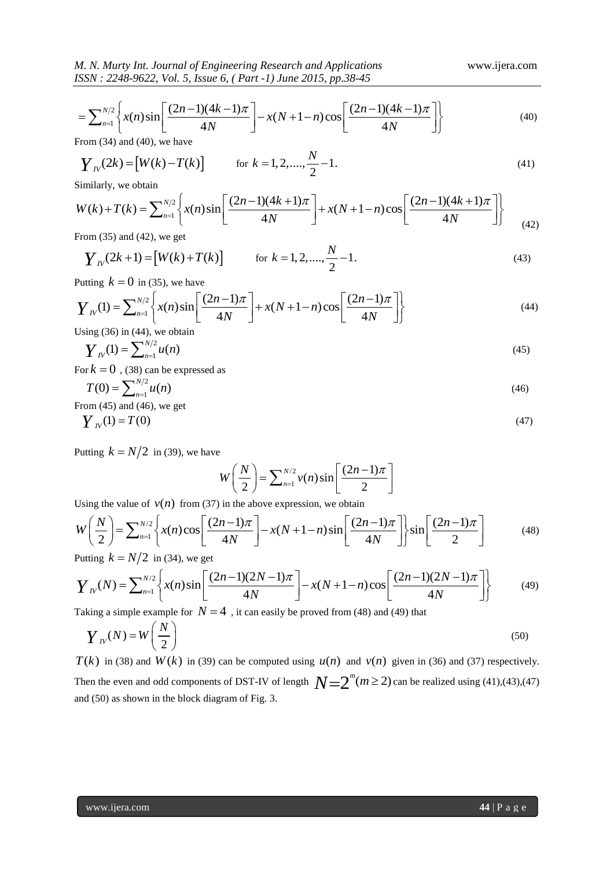M. N. Murty Int. Journal of Engineering Research and Applications  
\n
$$
USSN : 2248-9622, Vol. 5, Issue 6, (Part-1) June 2015, pp.38-45
$$
\n
$$
= \sum_{n=1}^{N/2} \left\{ x(n) \sin \left[ \frac{(2n-1)(4k-1)\pi}{4N} \right] - x(N+1-n) \cos \left[ \frac{(2n-1)(4k-1)\pi}{4N} \right] \right\}
$$
\n(40)

From (34) and (40), we have

$$
Y_{10}(2k) = [W(k) - T(k)] \quad \text{for } k = 1, 2, \dots, \frac{N}{2} - 1. \tag{41}
$$
  
Similarly, we obtain  

$$
W(k) + T(k) = \sum_{n=1}^{N/2} \left\{ x(n) \sin \left[ \frac{(2n-1)(4k+1)\pi}{4N} \right] + x(N+1-n) \cos \left[ \frac{(2n-1)(4k+1)\pi}{4N} \right] \right\}
$$

Similarly, we obtain

$$
\boldsymbol{Y}_{IV}(2k) = [W(k) - T(k)] \quad \text{for } k = 1, 2, ..., \frac{N}{2} - 1. \tag{41}
$$
\nSimilarly, we obtain\n
$$
W(k) + T(k) = \sum_{n=1}^{N/2} \left\{ x(n) \sin \left[ \frac{(2n-1)(4k+1)\pi}{4N} \right] + x(N+1-n) \cos \left[ \frac{(2n-1)(4k+1)\pi}{4N} \right] \right\}
$$
\nFrom (35) and (42) we get

From (35) and (42), we get

$$
Y_{N}(2k+1) = [W(k) + T(k)] \qquad \text{for } k = 1, 2, ..., \frac{N}{2} - 1.
$$
 (43)

Putting  $k = 0$  in (35), we have

$$
\boldsymbol{Y}_{N}(2k+1) = [\boldsymbol{W}(k) + \boldsymbol{\Gamma}(k)] \quad \text{for } k = 1, 2, ..., \frac{1}{2} - 1.
$$
\nPutting  $k = 0$  in (35), we have

\n
$$
\boldsymbol{Y}_{N}(1) = \sum_{n=1}^{N/2} \left\{ x(n) \sin \left[ \frac{(2n-1)\pi}{4N} \right] + x(N+1-n) \cos \left[ \frac{(2n-1)\pi}{4N} \right] \right\}
$$
\n(44)

\nUsing (36) in (44), we obtain

Using (36) in (44), we obtain

$$
Y_{N}(1) = \sum_{n=1}^{N/2} u(n) \tag{45}
$$

For  $k = 0$ , (38) can be expressed as

$$
T(0) = \sum_{n=1}^{N/2} u(n) \tag{46}
$$

From  $(45)$  and  $(46)$ , we get

$$
Y_{N}(1) = T(0) \tag{47}
$$

Putting  $k = N/2$  in (39), we have

$$
W\left(\frac{N}{2}\right) = \sum_{n=1}^{N/2} v(n) \sin\left[\frac{(2n-1)\pi}{2}\right]
$$

Using the value of  $v(n)$  from (37) in the above expression, we obtain

$$
W\left(\frac{N}{2}\right) = \sum_{n=1}^{N/2} \nu(n) \sin\left[\frac{(2n-1)\pi}{2}\right]
$$
  
Using the value of  $\nu(n)$  from (37) in the above expression, we obtain  

$$
W\left(\frac{N}{2}\right) = \sum_{n=1}^{N/2} \left\{ x(n) \cos\left[\frac{(2n-1)\pi}{4N}\right] - x(N+1-n) \sin\left[\frac{(2n-1)\pi}{4N}\right] \right\} \sin\left[\frac{(2n-1)\pi}{2}\right]
$$
(48)  
Putting  $k = N/2$  in (34), we get  

$$
Y_{1V}(N) = \sum_{n=1}^{N/2} \left\{ x(n) \sin\left[\frac{(2n-1)(2N-1)\pi}{4N}\right] - x(N+1-n) \cos\left[\frac{(2n-1)(2N-1)\pi}{4N}\right] \right\}
$$
(49)

Putting  $k = N/2$  in (34), we get

$$
W\left(\frac{1}{2}\right) = \sum_{n=1}^{\infty} \left\{ \frac{x(n)\cos\left[\frac{1}{2}x\right] - x(N+1-n)\sin\left[\frac{1}{2}x\right]}{4N} \right\} \sin\left[\frac{1}{2}\right] \tag{48}
$$
\nPutting  $k = N/2$  in (34), we get\n
$$
Y_{1V}(N) = \sum_{n=1}^{N/2} \left\{ \frac{x(n)\sin\left[\frac{(2n-1)(2N-1)\pi}{4N}\right] - x(N+1-n)\cos\left[\frac{(2n-1)(2N-1)\pi}{4N}\right]}{4N} \right\} \tag{49}
$$
\nTaking a simple example for  $N = 4$ , it can easily be proved from (48) and (49) that

Taking a simple example for  $N = 4$ , it can easily be proved from (48) and (49) that

$$
\boldsymbol{Y}_N(N) = W\left(\frac{N}{2}\right) \tag{50}
$$

 $T(k)$  in (38) and  $W(k)$  in (39) can be computed using  $u(n)$  and  $v(n)$  given in (36) and (37) respectively. Then the even and odd components of DST-IV of length  $N=2^m (m \geq 2)$  can be realized using (41),(43),(47) and (50) as shown in the block diagram of Fig. 3.